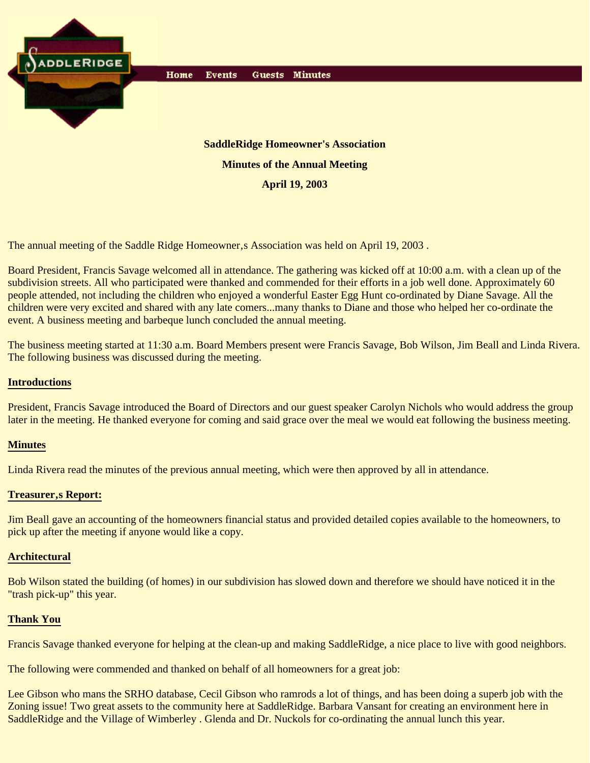

The annual meeting of the Saddle Ridge Homeowner, a Association was held on April 19, 2003.

Board President, Francis Savage welcomed all in attendance. The gathering was kicked off at 10:00 a.m. with a clean up of the subdivision streets. All who participated were thanked and commended for their efforts in a job well done. Approximately 60 people attended, not including the children who enjoyed a wonderful Easter Egg Hunt co-ordinated by Diane Savage. All the children were very excited and shared with any late comers...many thanks to Diane and those who helped her co-ordinate the event. A business meeting and barbeque lunch concluded the annual meeting.

The business meeting started at 11:30 a.m. Board Members present were Francis Savage, Bob Wilson, Jim Beall and Linda Rivera. The following business was discussed during the meeting.

# **Introductions**

President, Francis Savage introduced the Board of Directors and our guest speaker Carolyn Nichols who would address the group later in the meeting. He thanked everyone for coming and said grace over the meal we would eat following the business meeting.

## **Minutes**

Linda Rivera read the minutes of the previous annual meeting, which were then approved by all in attendance.

## **Treasurer, s Report:**

Jim Beall gave an accounting of the homeowners financial status and provided detailed copies available to the homeowners, to pick up after the meeting if anyone would like a copy.

### **Architectural**

Bob Wilson stated the building (of homes) in our subdivision has slowed down and therefore we should have noticed it in the "trash pick-up" this year.

## **Thank You**

Francis Savage thanked everyone for helping at the clean-up and making SaddleRidge, a nice place to live with good neighbors.

The following were commended and thanked on behalf of all homeowners for a great job:

Lee Gibson who mans the SRHO database, Cecil Gibson who ramrods a lot of things, and has been doing a superb job with the Zoning issue! Two great assets to the community here at SaddleRidge. Barbara Vansant for creating an environment here in SaddleRidge and the Village of Wimberley . Glenda and Dr. Nuckols for co-ordinating the annual lunch this year.